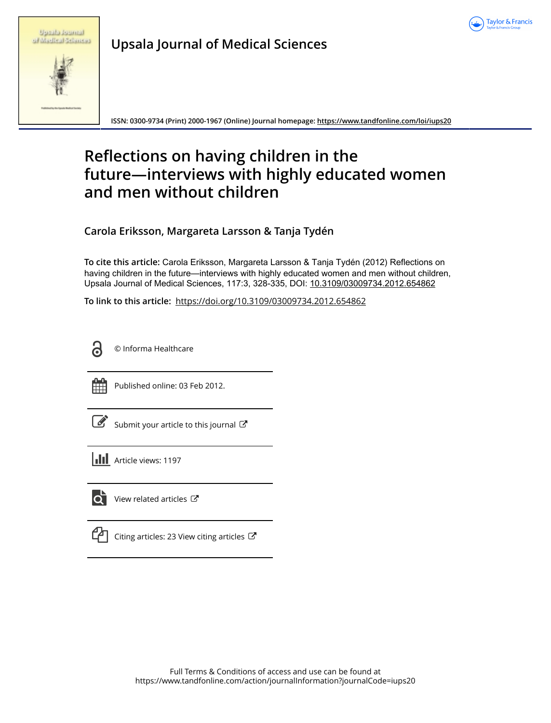

|  | <u>Uppilo fournal</u> |  |
|--|-----------------------|--|
|  | of Madical Sciences   |  |

**Upsala Journal of Medical Sciences**

**ISSN: 0300-9734 (Print) 2000-1967 (Online) Journal homepage:<https://www.tandfonline.com/loi/iups20>**

# **Reflections on having children in the future—interviews with highly educated women and men without children**

**Carola Eriksson, Margareta Larsson & Tanja Tydén**

**To cite this article:** Carola Eriksson, Margareta Larsson & Tanja Tydén (2012) Reflections on having children in the future—interviews with highly educated women and men without children, Upsala Journal of Medical Sciences, 117:3, 328-335, DOI: [10.3109/03009734.2012.654862](https://www.tandfonline.com/action/showCitFormats?doi=10.3109/03009734.2012.654862)

**To link to this article:** <https://doi.org/10.3109/03009734.2012.654862>



© Informa Healthcare



Published online: 03 Feb 2012.

[Submit your article to this journal](https://www.tandfonline.com/action/authorSubmission?journalCode=iups20&show=instructions)  $\mathbb{Z}$ 

**III** Article views: 1197



 $\bullet$  [View related articles](https://www.tandfonline.com/doi/mlt/10.3109/03009734.2012.654862)  $\sigma$ 

| Citing ari |  |
|------------|--|
|            |  |

ticles: 23 View citing articles  $\mathbb{C}^{\bullet}$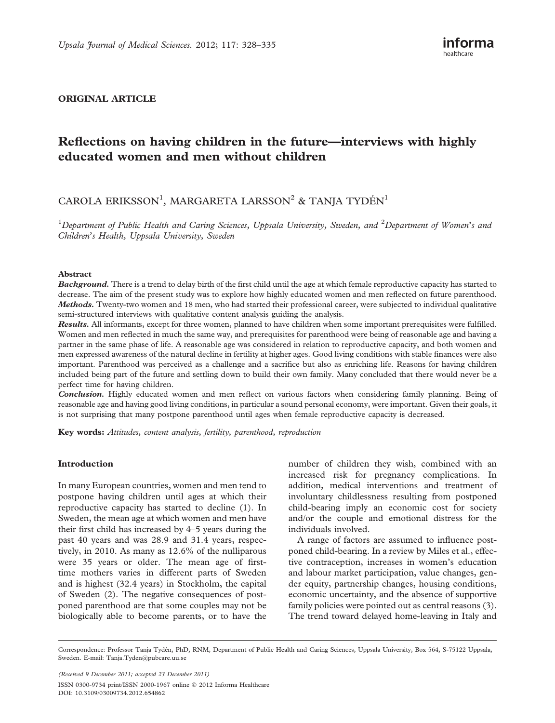# ORIGINAL ARTICLE

# Reflections on having children in the future—interviews with highly educated women and men without children

# CAROLA ERIKSSON<sup>1</sup>, MARGARETA LARSSON<sup>2</sup> & TANJA TYDÉN<sup>1</sup>

<sup>1</sup>Department of Public Health and Caring Sciences, Uppsala University, Sweden, and <sup>2</sup>Department of Women's and Children's Health, Uppsala University, Sweden

#### Abstract

**Background.** There is a trend to delay birth of the first child until the age at which female reproductive capacity has started to decrease. The aim of the present study was to explore how highly educated women and men reflected on future parenthood. Methods. Twenty-two women and 18 men, who had started their professional career, were subjected to individual qualitative semi-structured interviews with qualitative content analysis guiding the analysis.

Results. All informants, except for three women, planned to have children when some important prerequisites were fulfilled. Women and men reflected in much the same way, and prerequisites for parenthood were being of reasonable age and having a partner in the same phase of life. A reasonable age was considered in relation to reproductive capacity, and both women and men expressed awareness of the natural decline in fertility at higher ages. Good living conditions with stable finances were also important. Parenthood was perceived as a challenge and a sacrifice but also as enriching life. Reasons for having children included being part of the future and settling down to build their own family. Many concluded that there would never be a perfect time for having children.

Conclusion. Highly educated women and men reflect on various factors when considering family planning. Being of reasonable age and having good living conditions, in particular a sound personal economy, were important. Given their goals, it is not surprising that many postpone parenthood until ages when female reproductive capacity is decreased.

Key words: Attitudes, content analysis, fertility, parenthood, reproduction

# Introduction

In many European countries, women and men tend to postpone having children until ages at which their reproductive capacity has started to decline (1). In Sweden, the mean age at which women and men have their first child has increased by 4–5 years during the past 40 years and was 28.9 and 31.4 years, respectively, in 2010. As many as 12.6% of the nulliparous were 35 years or older. The mean age of firsttime mothers varies in different parts of Sweden and is highest (32.4 years) in Stockholm, the capital of Sweden (2). The negative consequences of postponed parenthood are that some couples may not be biologically able to become parents, or to have the

number of children they wish, combined with an increased risk for pregnancy complications. In addition, medical interventions and treatment of involuntary childlessness resulting from postponed child-bearing imply an economic cost for society and/or the couple and emotional distress for the individuals involved.

A range of factors are assumed to influence postponed child-bearing. In a review by Miles et al., effective contraception, increases in women's education and labour market participation, value changes, gender equity, partnership changes, housing conditions, economic uncertainty, and the absence of supportive family policies were pointed out as central reasons (3). The trend toward delayed home-leaving in Italy and

(Received 9 December 2011; accepted 23 December 2011) ISSN 0300-9734 print/ISSN 2000-1967 online 2012 Informa Healthcare DOI: 10.3109/03009734.2012.654862

Correspondence: Professor Tanja Tydén, PhD, RNM, Department of Public Health and Caring Sciences, Uppsala University, Box 564, S-75122 Uppsala, Sweden. E-mail: Tanja.Tyden@pubcare.uu.se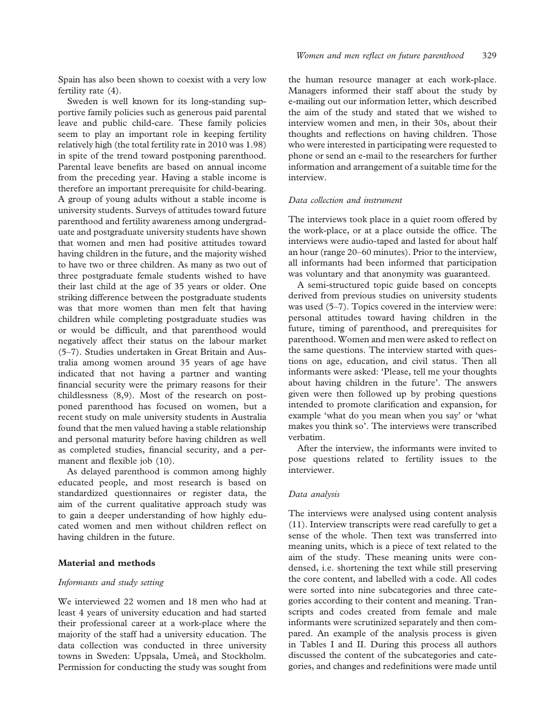Spain has also been shown to coexist with a very low fertility rate (4).

Sweden is well known for its long-standing supportive family policies such as generous paid parental leave and public child-care. These family policies seem to play an important role in keeping fertility relatively high (the total fertility rate in 2010 was 1.98) in spite of the trend toward postponing parenthood. Parental leave benefits are based on annual income from the preceding year. Having a stable income is therefore an important prerequisite for child-bearing. A group of young adults without a stable income is university students. Surveys of attitudes toward future parenthood and fertility awareness among undergraduate and postgraduate university students have shown that women and men had positive attitudes toward having children in the future, and the majority wished to have two or three children. As many as two out of three postgraduate female students wished to have their last child at the age of 35 years or older. One striking difference between the postgraduate students was that more women than men felt that having children while completing postgraduate studies was or would be difficult, and that parenthood would negatively affect their status on the labour market (5–7). Studies undertaken in Great Britain and Australia among women around 35 years of age have indicated that not having a partner and wanting financial security were the primary reasons for their childlessness (8,9). Most of the research on postponed parenthood has focused on women, but a recent study on male university students in Australia found that the men valued having a stable relationship and personal maturity before having children as well as completed studies, financial security, and a permanent and flexible job (10).

As delayed parenthood is common among highly educated people, and most research is based on standardized questionnaires or register data, the aim of the current qualitative approach study was to gain a deeper understanding of how highly educated women and men without children reflect on having children in the future.

# Material and methods

#### Informants and study setting

We interviewed 22 women and 18 men who had at least 4 years of university education and had started their professional career at a work-place where the majority of the staff had a university education. The data collection was conducted in three university towns in Sweden: Uppsala, Umeå, and Stockholm. Permission for conducting the study was sought from

the human resource manager at each work-place. Managers informed their staff about the study by e-mailing out our information letter, which described the aim of the study and stated that we wished to interview women and men, in their 30s, about their thoughts and reflections on having children. Those who were interested in participating were requested to phone or send an e-mail to the researchers for further information and arrangement of a suitable time for the interview.

#### Data collection and instrument

The interviews took place in a quiet room offered by the work-place, or at a place outside the office. The interviews were audio-taped and lasted for about half an hour (range 20–60 minutes). Prior to the interview, all informants had been informed that participation was voluntary and that anonymity was guaranteed.

A semi-structured topic guide based on concepts derived from previous studies on university students was used (5–7). Topics covered in the interview were: personal attitudes toward having children in the future, timing of parenthood, and prerequisites for parenthood. Women and men were asked to reflect on the same questions. The interview started with questions on age, education, and civil status. Then all informants were asked: 'Please, tell me your thoughts about having children in the future'. The answers given were then followed up by probing questions intended to promote clarification and expansion, for example 'what do you mean when you say' or 'what makes you think so'. The interviews were transcribed verbatim.

After the interview, the informants were invited to pose questions related to fertility issues to the interviewer.

#### Data analysis

The interviews were analysed using content analysis (11). Interview transcripts were read carefully to get a sense of the whole. Then text was transferred into meaning units, which is a piece of text related to the aim of the study. These meaning units were condensed, i.e. shortening the text while still preserving the core content, and labelled with a code. All codes were sorted into nine subcategories and three categories according to their content and meaning. Transcripts and codes created from female and male informants were scrutinized separately and then compared. An example of the analysis process is given in Tables I and II. During this process all authors discussed the content of the subcategories and categories, and changes and redefinitions were made until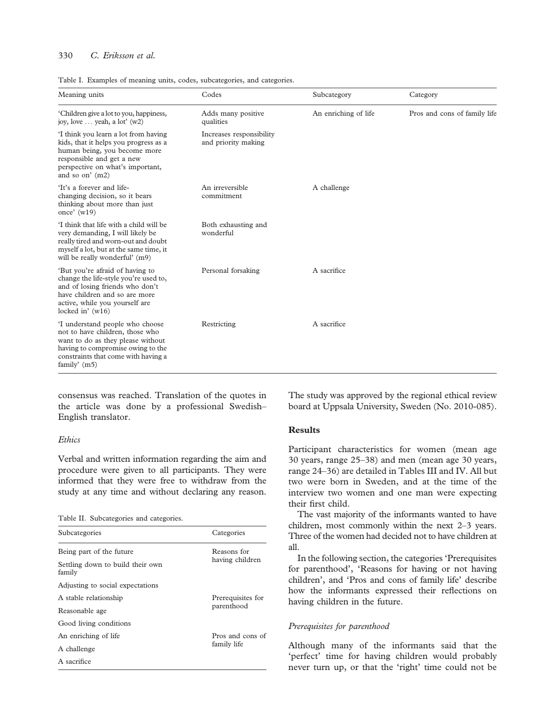# 330 C. Eriksson et al.

|  |  | Table I. Examples of meaning units, codes, subcategories, and categories. |  |
|--|--|---------------------------------------------------------------------------|--|
|  |  |                                                                           |  |
|  |  |                                                                           |  |

| Meaning units                                                                                                                                                                                                       | Codes                                           | Subcategory          | Category                     |  |  |
|---------------------------------------------------------------------------------------------------------------------------------------------------------------------------------------------------------------------|-------------------------------------------------|----------------------|------------------------------|--|--|
| 'Children give a lot to you, happiness,<br>Adds many positive<br>joy, love $\dots$ yeah, a lot' $(w2)$<br>qualities                                                                                                 |                                                 | An enriching of life | Pros and cons of family life |  |  |
| I think you learn a lot from having<br>kids, that it helps you progress as a<br>human being, you become more<br>responsible and get a new<br>perspective on what's important,<br>and so on' $(m2)$                  | Increases responsibility<br>and priority making |                      |                              |  |  |
| 'It's a forever and life-<br>changing decision, so it bears<br>thinking about more than just<br>once' $(w19)$                                                                                                       | An irreversible<br>commitment                   | A challenge          |                              |  |  |
| 'I think that life with a child will be<br>very demanding, I will likely be<br>really tired and worn-out and doubt<br>myself a lot, but at the same time, it<br>will be really wonderful' (m9)                      | Both exhausting and<br>wonderful                |                      |                              |  |  |
| 'But you're afraid of having to<br>change the life-style you're used to,<br>and of losing friends who don't<br>have children and so are more<br>active, while you yourself are<br>locked in' $(w16)$                | Personal forsaking                              | A sacrifice          |                              |  |  |
| I understand people who choose<br>Restricting<br>not to have children, those who<br>want to do as they please without<br>having to compromise owing to the<br>constraints that come with having a<br>family' $(m5)$ |                                                 | A sacrifice          |                              |  |  |

consensus was reached. Translation of the quotes in the article was done by a professional Swedish– English translator.

## Ethics

Verbal and written information regarding the aim and procedure were given to all participants. They were informed that they were free to withdraw from the study at any time and without declaring any reason.

Table II. Subcategories and categories.

| Subcategories                              | Categories        |  |
|--------------------------------------------|-------------------|--|
| Being part of the future                   | Reasons for       |  |
| Settling down to build their own<br>family | having children   |  |
| Adjusting to social expectations           |                   |  |
| A stable relationship                      | Prerequisites for |  |
| Reasonable age                             | parenthood        |  |
| Good living conditions                     |                   |  |
| An enriching of life                       | Pros and cons of  |  |
| A challenge                                | family life       |  |
| A sacrifice                                |                   |  |

The study was approved by the regional ethical review board at Uppsala University, Sweden (No. 2010-085).

# Results

Participant characteristics for women (mean age 30 years, range 25–38) and men (mean age 30 years, range 24–36) are detailed in Tables III and IV. All but two were born in Sweden, and at the time of the interview two women and one man were expecting their first child.

The vast majority of the informants wanted to have children, most commonly within the next 2–3 years. Three of the women had decided not to have children at all.

In the following section, the categories 'Prerequisites for parenthood', 'Reasons for having or not having children', and 'Pros and cons of family life' describe how the informants expressed their reflections on having children in the future.

# Prerequisites for parenthood

Although many of the informants said that the 'perfect' time for having children would probably never turn up, or that the 'right' time could not be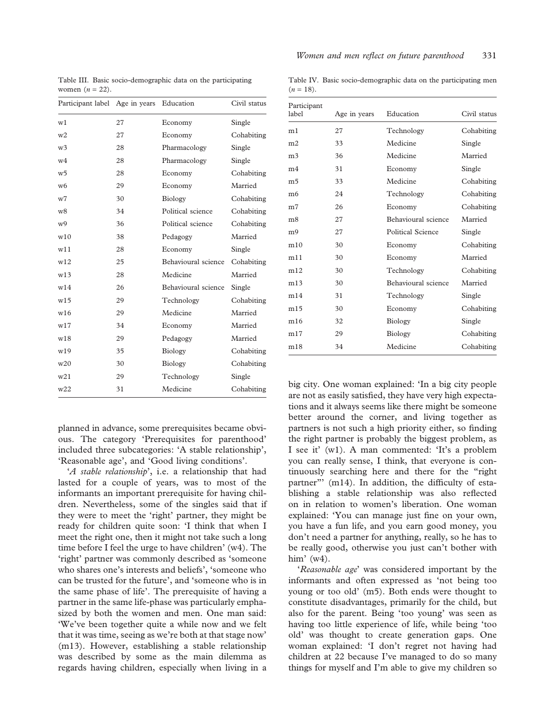Table III. Basic socio-demographic data on the participating women  $(n = 22)$ .

| Participant label Age in years |    | Education           | Civil status |
|--------------------------------|----|---------------------|--------------|
| w1                             | 27 | Economy             | Single       |
| w <sub>2</sub>                 | 27 | Economy             | Cohabiting   |
| w3                             | 28 | Pharmacology        | Single       |
| w4                             | 28 | Pharmacology        | Single       |
| w5                             | 28 | Economy             | Cohabiting   |
| w6                             | 29 | Economy             | Married      |
| w7                             | 30 | Biology             | Cohabiting   |
| w8                             | 34 | Political science   | Cohabiting   |
| w9                             | 36 | Political science   | Cohabiting   |
| w10                            | 38 | Pedagogy            | Married      |
| w11                            | 28 | Economy             | Single       |
| w12                            | 25 | Behavioural science | Cohabiting   |
| w13                            | 28 | Medicine            | Married      |
| w14                            | 26 | Behavioural science | Single       |
| w15                            | 29 | Technology          | Cohabiting   |
| w16                            | 29 | Medicine            | Married      |
| w17                            | 34 | Economy             | Married      |
| w18                            | 29 | Pedagogy            | Married      |
| W <sub>19</sub>                | 35 | <b>Biology</b>      | Cohabiting   |
| w20                            | 30 | Biology             | Cohabiting   |
| w21                            | 29 | Technology          | Single       |
| w22                            | 31 | Medicine            | Cohabiting   |

planned in advance, some prerequisites became obvious. The category 'Prerequisites for parenthood' included three subcategories: 'A stable relationship', 'Reasonable age', and 'Good living conditions'.

'A stable relationship', i.e. a relationship that had lasted for a couple of years, was to most of the informants an important prerequisite for having children. Nevertheless, some of the singles said that if they were to meet the 'right' partner, they might be ready for children quite soon: 'I think that when I meet the right one, then it might not take such a long time before I feel the urge to have children' (w4). The 'right' partner was commonly described as 'someone who shares one's interests and beliefs', 'someone who can be trusted for the future', and 'someone who is in the same phase of life'. The prerequisite of having a partner in the same life-phase was particularly emphasized by both the women and men. One man said: 'We've been together quite a while now and we felt that it was time, seeing as we're both at that stage now' (m13). However, establishing a stable relationship was described by some as the main dilemma as regards having children, especially when living in a

Table IV. Basic socio-demographic data on the participating men  $(n = 18)$ .

| Participant<br>label | Age in years | Education           | Civil status |
|----------------------|--------------|---------------------|--------------|
|                      |              |                     |              |
| m1                   | 27           | Technology          | Cohabiting   |
| m <sub>2</sub>       | 33           | Medicine            | Single       |
| m <sub>3</sub>       | 36           | Medicine            | Married      |
| m <sub>4</sub>       | 31           | Economy             | Single       |
| m <sub>5</sub>       | 33           | Medicine            | Cohabiting   |
| m <sub>6</sub>       | 24           | Technology          | Cohabiting   |
| m <sub>7</sub>       | 26           | Economy             | Cohabiting   |
| m8                   | 27           | Behavioural science | Married      |
| m <sub>9</sub>       | 27           | Political Science   | Single       |
| m10                  | 30           | Economy             | Cohabiting   |
| m11                  | 30           | Economy             | Married      |
| m12                  | 30           | Technology          | Cohabiting   |
| m13                  | 30           | Behavioural science | Married      |
| m14                  | 31           | Technology          | Single       |
| m15                  | 30           | Economy             | Cohabiting   |
| m16                  | 32           | Biology             | Single       |
| m17                  | 29           | Biology             | Cohabiting   |
| m18                  | 34           | Medicine            | Cohabiting   |

big city. One woman explained: 'In a big city people are not as easily satisfied, they have very high expectations and it always seems like there might be someone better around the corner, and living together as partners is not such a high priority either, so finding the right partner is probably the biggest problem, as I see it' (w1). A man commented: 'It's a problem you can really sense, I think, that everyone is continuously searching here and there for the "right partner"<sup>'</sup> (m14). In addition, the difficulty of establishing a stable relationship was also reflected on in relation to women's liberation. One woman explained: 'You can manage just fine on your own, you have a fun life, and you earn good money, you don't need a partner for anything, really, so he has to be really good, otherwise you just can't bother with him' (w4).

'Reasonable age' was considered important by the informants and often expressed as 'not being too young or too old' (m5). Both ends were thought to constitute disadvantages, primarily for the child, but also for the parent. Being 'too young' was seen as having too little experience of life, while being 'too old' was thought to create generation gaps. One woman explained: 'I don't regret not having had children at 22 because I've managed to do so many things for myself and I'm able to give my children so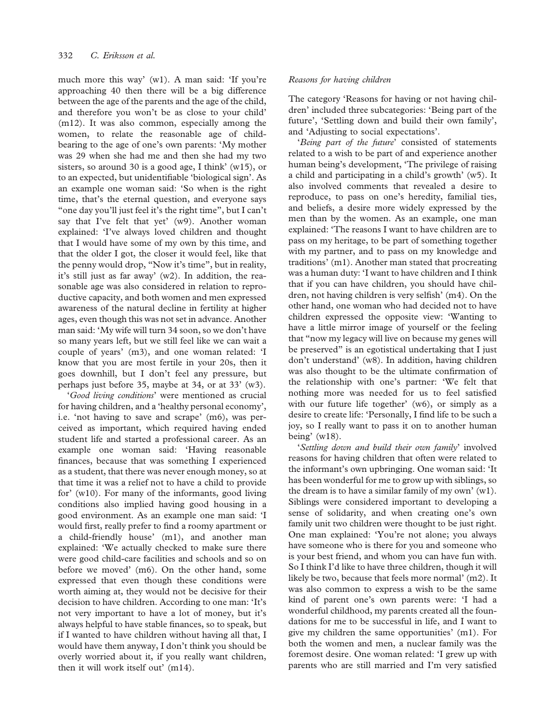much more this way' (w1). A man said: 'If you're approaching 40 then there will be a big difference between the age of the parents and the age of the child, and therefore you won't be as close to your child' (m12). It was also common, especially among the women, to relate the reasonable age of childbearing to the age of one's own parents: 'My mother was 29 when she had me and then she had my two sisters, so around 30 is a good age, I think' (w15), or to an expected, but unidentifiable 'biological sign'. As an example one woman said: 'So when is the right time, that's the eternal question, and everyone says "one day you'll just feel it's the right time", but I can't say that I've felt that yet' (w9). Another woman explained: 'I've always loved children and thought that I would have some of my own by this time, and that the older I got, the closer it would feel, like that the penny would drop, "Now it's time", but in reality, it's still just as far away' (w2). In addition, the reasonable age was also considered in relation to reproductive capacity, and both women and men expressed awareness of the natural decline in fertility at higher ages, even though this was not set in advance. Another man said: 'My wife will turn 34 soon, so we don't have so many years left, but we still feel like we can wait a couple of years' (m3), and one woman related: 'I know that you are most fertile in your 20s, then it goes downhill, but I don't feel any pressure, but perhaps just before 35, maybe at 34, or at 33' (w3).

'Good living conditions' were mentioned as crucial for having children, and a 'healthy personal economy', i.e. 'not having to save and scrape' (m6), was perceived as important, which required having ended student life and started a professional career. As an example one woman said: 'Having reasonable finances, because that was something I experienced as a student, that there was never enough money, so at that time it was a relief not to have a child to provide for' (w10). For many of the informants, good living conditions also implied having good housing in a good environment. As an example one man said: 'I would first, really prefer to find a roomy apartment or a child-friendly house' (m1), and another man explained: 'We actually checked to make sure there were good child-care facilities and schools and so on before we moved' (m6). On the other hand, some expressed that even though these conditions were worth aiming at, they would not be decisive for their decision to have children. According to one man: 'It's not very important to have a lot of money, but it's always helpful to have stable finances, so to speak, but if I wanted to have children without having all that, I would have them anyway, I don't think you should be overly worried about it, if you really want children, then it will work itself out' (m14).

#### Reasons for having children

The category 'Reasons for having or not having children' included three subcategories: 'Being part of the future', 'Settling down and build their own family', and 'Adjusting to social expectations'.

'Being part of the future' consisted of statements related to a wish to be part of and experience another human being's development, 'The privilege of raising a child and participating in a child's growth' (w5). It also involved comments that revealed a desire to reproduce, to pass on one's heredity, familial ties, and beliefs, a desire more widely expressed by the men than by the women. As an example, one man explained: 'The reasons I want to have children are to pass on my heritage, to be part of something together with my partner, and to pass on my knowledge and traditions' (m1). Another man stated that procreating was a human duty: 'I want to have children and I think that if you can have children, you should have children, not having children is very selfish' (m4). On the other hand, one woman who had decided not to have children expressed the opposite view: 'Wanting to have a little mirror image of yourself or the feeling that "now my legacy will live on because my genes will be preserved" is an egotistical undertaking that I just don't understand' (w8). In addition, having children was also thought to be the ultimate confirmation of the relationship with one's partner: 'We felt that nothing more was needed for us to feel satisfied with our future life together' (w6), or simply as a desire to create life: 'Personally, I find life to be such a joy, so I really want to pass it on to another human being'  $(w18)$ .

'Settling down and build their own family' involved reasons for having children that often were related to the informant's own upbringing. One woman said: 'It has been wonderful for me to grow up with siblings, so the dream is to have a similar family of my own'  $(w1)$ . Siblings were considered important to developing a sense of solidarity, and when creating one's own family unit two children were thought to be just right. One man explained: 'You're not alone; you always have someone who is there for you and someone who is your best friend, and whom you can have fun with. So I think I'd like to have three children, though it will likely be two, because that feels more normal' (m2). It was also common to express a wish to be the same kind of parent one's own parents were: 'I had a wonderful childhood, my parents created all the foundations for me to be successful in life, and I want to give my children the same opportunities' (m1). For both the women and men, a nuclear family was the foremost desire. One woman related: 'I grew up with parents who are still married and I'm very satisfied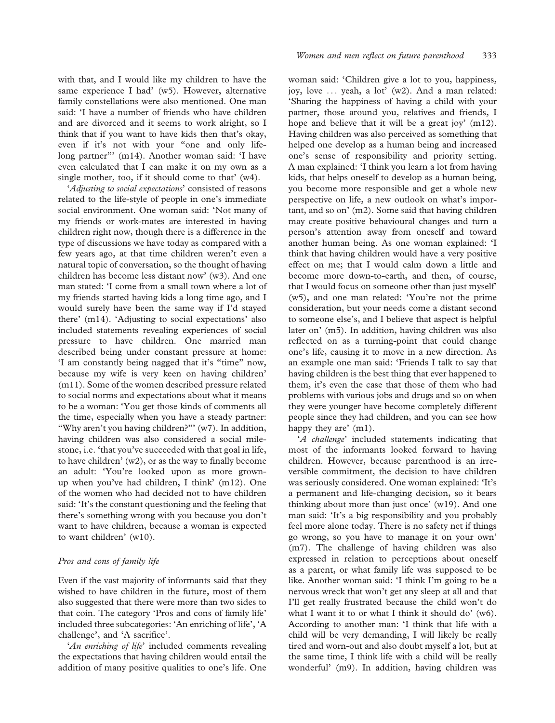with that, and I would like my children to have the same experience I had' (w5). However, alternative family constellations were also mentioned. One man said: 'I have a number of friends who have children and are divorced and it seems to work alright, so I think that if you want to have kids then that's okay, even if it's not with your "one and only lifelong partner" (m14). Another woman said: 'I have even calculated that I can make it on my own as a single mother, too, if it should come to that' (w4).

'Adjusting to social expectations' consisted of reasons related to the life-style of people in one's immediate social environment. One woman said: 'Not many of my friends or work-mates are interested in having children right now, though there is a difference in the type of discussions we have today as compared with a few years ago, at that time children weren't even a natural topic of conversation, so the thought of having children has become less distant now' (w3). And one man stated: 'I come from a small town where a lot of my friends started having kids a long time ago, and I would surely have been the same way if I'd stayed there' (m14). 'Adjusting to social expectations' also included statements revealing experiences of social pressure to have children. One married man described being under constant pressure at home: 'I am constantly being nagged that it's "time" now, because my wife is very keen on having children' (m11). Some of the women described pressure related to social norms and expectations about what it means to be a woman: 'You get those kinds of comments all the time, especially when you have a steady partner: "Why aren't you having children?"" (w7). In addition, having children was also considered a social milestone, i.e. 'that you've succeeded with that goal in life, to have children' (w2), or as the way to finally become an adult: 'You're looked upon as more grownup when you've had children, I think' (m12). One of the women who had decided not to have children said: 'It's the constant questioning and the feeling that there's something wrong with you because you don't want to have children, because a woman is expected to want children' (w10).

#### Pros and cons of family life

Even if the vast majority of informants said that they wished to have children in the future, most of them also suggested that there were more than two sides to that coin. The category 'Pros and cons of family life' included three subcategories: 'An enriching of life', 'A challenge', and 'A sacrifice'.

'An enriching of life' included comments revealing the expectations that having children would entail the addition of many positive qualities to one's life. One

woman said: 'Children give a lot to you, happiness, joy, love ... yeah, a lot' (w2). And a man related: 'Sharing the happiness of having a child with your partner, those around you, relatives and friends, I hope and believe that it will be a great joy' (m12). Having children was also perceived as something that helped one develop as a human being and increased one's sense of responsibility and priority setting. A man explained: 'I think you learn a lot from having kids, that helps oneself to develop as a human being, you become more responsible and get a whole new perspective on life, a new outlook on what's important, and so on' (m2). Some said that having children may create positive behavioural changes and turn a person's attention away from oneself and toward another human being. As one woman explained: 'I think that having children would have a very positive effect on me; that I would calm down a little and become more down-to-earth, and then, of course, that I would focus on someone other than just myself' (w5), and one man related: 'You're not the prime consideration, but your needs come a distant second to someone else's, and I believe that aspect is helpful later on' (m5). In addition, having children was also reflected on as a turning-point that could change one's life, causing it to move in a new direction. As an example one man said: 'Friends I talk to say that having children is the best thing that ever happened to them, it's even the case that those of them who had problems with various jobs and drugs and so on when they were younger have become completely different people since they had children, and you can see how happy they are' (m1).

'A challenge' included statements indicating that most of the informants looked forward to having children. However, because parenthood is an irreversible commitment, the decision to have children was seriously considered. One woman explained: 'It's a permanent and life-changing decision, so it bears thinking about more than just once' (w19). And one man said: 'It's a big responsibility and you probably feel more alone today. There is no safety net if things go wrong, so you have to manage it on your own' (m7). The challenge of having children was also expressed in relation to perceptions about oneself as a parent, or what family life was supposed to be like. Another woman said: 'I think I'm going to be a nervous wreck that won't get any sleep at all and that I'll get really frustrated because the child won't do what I want it to or what I think it should do' (w6). According to another man: 'I think that life with a child will be very demanding, I will likely be really tired and worn-out and also doubt myself a lot, but at the same time, I think life with a child will be really wonderful' (m9). In addition, having children was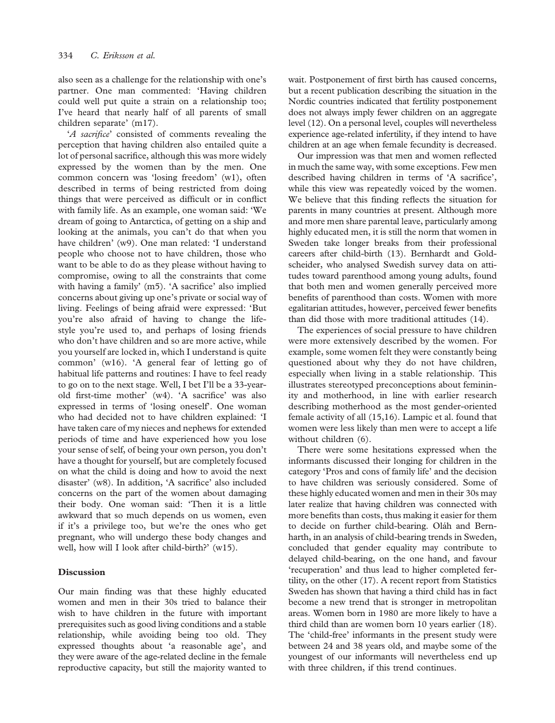also seen as a challenge for the relationship with one's partner. One man commented: 'Having children could well put quite a strain on a relationship too; I've heard that nearly half of all parents of small children separate' (m17).

'A sacrifice' consisted of comments revealing the perception that having children also entailed quite a lot of personal sacrifice, although this was more widely expressed by the women than by the men. One common concern was 'losing freedom' (w1), often described in terms of being restricted from doing things that were perceived as difficult or in conflict with family life. As an example, one woman said: 'We dream of going to Antarctica, of getting on a ship and looking at the animals, you can't do that when you have children' (w9). One man related: 'I understand people who choose not to have children, those who want to be able to do as they please without having to compromise, owing to all the constraints that come with having a family' (m5). 'A sacrifice' also implied concerns about giving up one's private or social way of living. Feelings of being afraid were expressed: 'But you're also afraid of having to change the lifestyle you're used to, and perhaps of losing friends who don't have children and so are more active, while you yourself are locked in, which I understand is quite common' (w16). 'A general fear of letting go of habitual life patterns and routines: I have to feel ready to go on to the next stage. Well, I bet I'll be a 33-yearold first-time mother' (w4). 'A sacrifice' was also expressed in terms of 'losing oneself'. One woman who had decided not to have children explained: 'I have taken care of my nieces and nephews for extended periods of time and have experienced how you lose your sense of self, of being your own person, you don't have a thought for yourself, but are completely focused on what the child is doing and how to avoid the next disaster' (w8). In addition, 'A sacrifice' also included concerns on the part of the women about damaging their body. One woman said: 'Then it is a little awkward that so much depends on us women, even if it's a privilege too, but we're the ones who get pregnant, who will undergo these body changes and well, how will I look after child-birth?' (w15).

# Discussion

Our main finding was that these highly educated women and men in their 30s tried to balance their wish to have children in the future with important prerequisites such as good living conditions and a stable relationship, while avoiding being too old. They expressed thoughts about 'a reasonable age', and they were aware of the age-related decline in the female reproductive capacity, but still the majority wanted to

wait. Postponement of first birth has caused concerns, but a recent publication describing the situation in the Nordic countries indicated that fertility postponement does not always imply fewer children on an aggregate level (12). On a personal level, couples will nevertheless experience age-related infertility, if they intend to have children at an age when female fecundity is decreased.

Our impression was that men and women reflected in much the same way, with some exceptions. Few men described having children in terms of 'A sacrifice', while this view was repeatedly voiced by the women. We believe that this finding reflects the situation for parents in many countries at present. Although more and more men share parental leave, particularly among highly educated men, it is still the norm that women in Sweden take longer breaks from their professional careers after child-birth (13). Bernhardt and Goldscheider, who analysed Swedish survey data on attitudes toward parenthood among young adults, found that both men and women generally perceived more benefits of parenthood than costs. Women with more egalitarian attitudes, however, perceived fewer benefits than did those with more traditional attitudes (14).

The experiences of social pressure to have children were more extensively described by the women. For example, some women felt they were constantly being questioned about why they do not have children, especially when living in a stable relationship. This illustrates stereotyped preconceptions about femininity and motherhood, in line with earlier research describing motherhood as the most gender-oriented female activity of all (15,16). Lampic et al. found that women were less likely than men were to accept a life without children (6).

There were some hesitations expressed when the informants discussed their longing for children in the category 'Pros and cons of family life' and the decision to have children was seriously considered. Some of these highly educated women and men in their 30s may later realize that having children was connected with more benefits than costs, thus making it easier for them to decide on further child-bearing. Oláh and Bernharth, in an analysis of child-bearing trends in Sweden, concluded that gender equality may contribute to delayed child-bearing, on the one hand, and favour 'recuperation' and thus lead to higher completed fertility, on the other (17). A recent report from Statistics Sweden has shown that having a third child has in fact become a new trend that is stronger in metropolitan areas. Women born in 1980 are more likely to have a third child than are women born 10 years earlier (18). The 'child-free' informants in the present study were between 24 and 38 years old, and maybe some of the youngest of our informants will nevertheless end up with three children, if this trend continues.